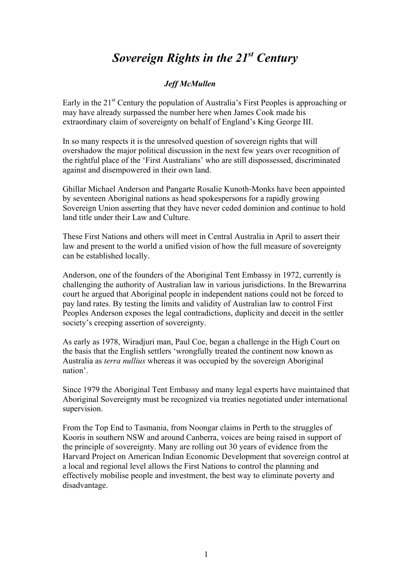## *Sovereign Rights in the 21st Century*

## *Jeff McMullen*

Early in the 21<sup>st</sup> Century the population of Australia's First Peoples is approaching or may have already surpassed the number here when James Cook made his extraordinary claim of sovereignty on behalf of England's King George III.

In so many respects it is the unresolved question of sovereign rights that will overshadow the major political discussion in the next few years over recognition of the rightful place of the 'First Australians' who are still dispossessed, discriminated against and disempowered in their own land.

Ghillar Michael Anderson and Pangarte Rosalie Kunoth-Monks have been appointed by seventeen Aboriginal nations as head spokespersons for a rapidly growing Sovereign Union asserting that they have never ceded dominion and continue to hold land title under their Law and Culture.

These First Nations and others will meet in Central Australia in April to assert their law and present to the world a unified vision of how the full measure of sovereignty can be established locally.

Anderson, one of the founders of the Aboriginal Tent Embassy in 1972, currently is challenging the authority of Australian law in various jurisdictions. In the Brewarrina court he argued that Aboriginal people in independent nations could not be forced to pay land rates. By testing the limits and validity of Australian law to control First Peoples Anderson exposes the legal contradictions, duplicity and deceit in the settler society's creeping assertion of sovereignty.

As early as 1978, Wiradjuri man, Paul Coe, began a challenge in the High Court on the basis that the English settlers 'wrongfully treated the continent now known as Australia as *terra nullius* whereas it was occupied by the sovereign Aboriginal nation'.

Since 1979 the Aboriginal Tent Embassy and many legal experts have maintained that Aboriginal Sovereignty must be recognized via treaties negotiated under international supervision.

From the Top End to Tasmania, from Noongar claims in Perth to the struggles of Kooris in southern NSW and around Canberra, voices are being raised in support of the principle of sovereignty. Many are rolling out 30 years of evidence from the Harvard Project on American Indian Economic Development that sovereign control at a local and regional level allows the First Nations to control the planning and effectively mobilise people and investment, the best way to eliminate poverty and disadvantage.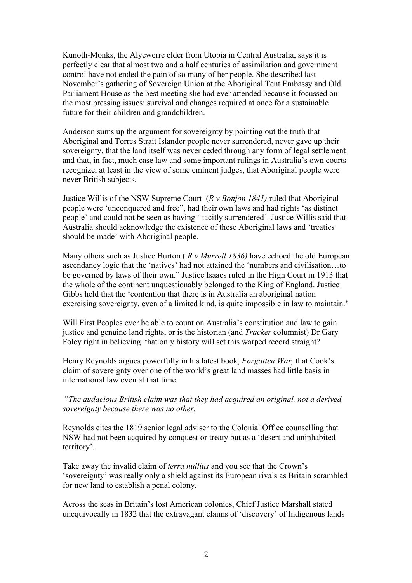Kunoth-Monks, the Alyewerre elder from Utopia in Central Australia, says it is perfectly clear that almost two and a half centuries of assimilation and government control have not ended the pain of so many of her people. She described last November's gathering of Sovereign Union at the Aboriginal Tent Embassy and Old Parliament House as the best meeting she had ever attended because it focussed on the most pressing issues: survival and changes required at once for a sustainable future for their children and grandchildren.

Anderson sums up the argument for sovereignty by pointing out the truth that Aboriginal and Torres Strait Islander people never surrendered, never gave up their sovereignty, that the land itself was never ceded through any form of legal settlement and that, in fact, much case law and some important rulings in Australia's own courts recognize, at least in the view of some eminent judges, that Aboriginal people were never British subjects.

Justice Willis of the NSW Supreme Court (*R v Bonjon 1841)* ruled that Aboriginal people were 'unconquered and free", had their own laws and had rights 'as distinct people' and could not be seen as having ' tacitly surrendered'. Justice Willis said that Australia should acknowledge the existence of these Aboriginal laws and 'treaties should be made' with Aboriginal people.

Many others such as Justice Burton ( *R v Murrell 1836)* have echoed the old European ascendancy logic that the 'natives' had not attained the 'numbers and civilisation…to be governed by laws of their own." Justice Isaacs ruled in the High Court in 1913 that the whole of the continent unquestionably belonged to the King of England. Justice Gibbs held that the 'contention that there is in Australia an aboriginal nation exercising sovereignty, even of a limited kind, is quite impossible in law to maintain.'

Will First Peoples ever be able to count on Australia's constitution and law to gain justice and genuine land rights, or is the historian (and *Tracker* columnist) Dr Gary Foley right in believing that only history will set this warped record straight?

Henry Reynolds argues powerfully in his latest book, *Forgotten War,* that Cook's claim of sovereignty over one of the world's great land masses had little basis in international law even at that time.

"*The audacious British claim was that they had acquired an original, not a derived sovereignty because there was no other."*

Reynolds cites the 1819 senior legal adviser to the Colonial Office counselling that NSW had not been acquired by conquest or treaty but as a 'desert and uninhabited territory'.

Take away the invalid claim of *terra nullius* and you see that the Crown's 'sovereignty' was really only a shield against its European rivals as Britain scrambled for new land to establish a penal colony.

Across the seas in Britain's lost American colonies, Chief Justice Marshall stated unequivocally in 1832 that the extravagant claims of 'discovery' of Indigenous lands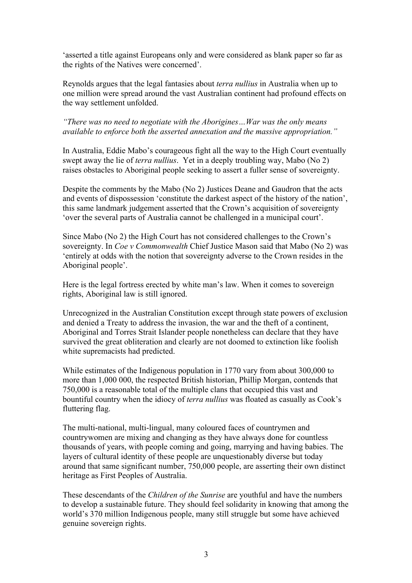'asserted a title against Europeans only and were considered as blank paper so far as the rights of the Natives were concerned'.

Reynolds argues that the legal fantasies about *terra nullius* in Australia when up to one million were spread around the vast Australian continent had profound effects on the way settlement unfolded.

## *"There was no need to negotiate with the Aborigines…War was the only means available to enforce both the asserted annexation and the massive appropriation."*

In Australia, Eddie Mabo's courageous fight all the way to the High Court eventually swept away the lie of *terra nullius*. Yet in a deeply troubling way, Mabo (No 2) raises obstacles to Aboriginal people seeking to assert a fuller sense of sovereignty.

Despite the comments by the Mabo (No 2) Justices Deane and Gaudron that the acts and events of dispossession 'constitute the darkest aspect of the history of the nation', this same landmark judgement asserted that the Crown's acquisition of sovereignty 'over the several parts of Australia cannot be challenged in a municipal court'.

Since Mabo (No 2) the High Court has not considered challenges to the Crown's sovereignty. In *Coe v Commonwealth* Chief Justice Mason said that Mabo (No 2) was 'entirely at odds with the notion that sovereignty adverse to the Crown resides in the Aboriginal people'.

Here is the legal fortress erected by white man's law. When it comes to sovereign rights, Aboriginal law is still ignored.

Unrecognized in the Australian Constitution except through state powers of exclusion and denied a Treaty to address the invasion, the war and the theft of a continent, Aboriginal and Torres Strait Islander people nonetheless can declare that they have survived the great obliteration and clearly are not doomed to extinction like foolish white supremacists had predicted.

While estimates of the Indigenous population in 1770 vary from about 300,000 to more than 1,000 000, the respected British historian, Phillip Morgan, contends that 750,000 is a reasonable total of the multiple clans that occupied this vast and bountiful country when the idiocy of *terra nullius* was floated as casually as Cook's fluttering flag.

The multi-national, multi-lingual, many coloured faces of countrymen and countrywomen are mixing and changing as they have always done for countless thousands of years, with people coming and going, marrying and having babies. The layers of cultural identity of these people are unquestionably diverse but today around that same significant number, 750,000 people, are asserting their own distinct heritage as First Peoples of Australia.

These descendants of the *Children of the Sunrise* are youthful and have the numbers to develop a sustainable future. They should feel solidarity in knowing that among the world's 370 million Indigenous people, many still struggle but some have achieved genuine sovereign rights.